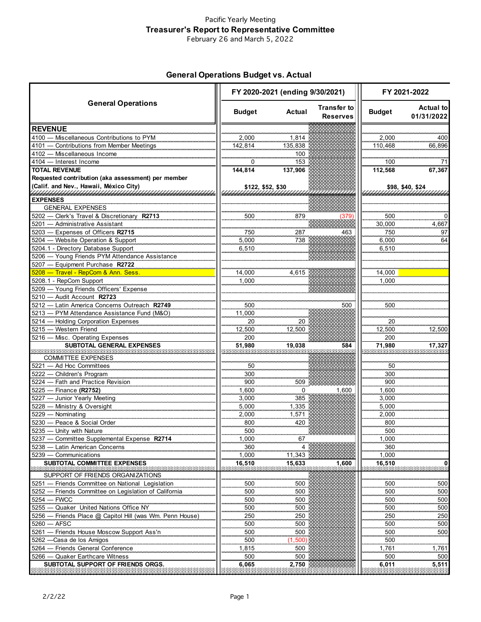### Pacific Yearly Meeting **Treasurer's Report to Representative Committee** February 26 and March 5, 2022

## **General Operations Budget vs. Actual**

|                                                                                              | FY 2020-2021 (ending 9/30/2021) |            |                                       | FY 2021-2022  |                                |
|----------------------------------------------------------------------------------------------|---------------------------------|------------|---------------------------------------|---------------|--------------------------------|
| <b>General Operations</b>                                                                    | <b>Budget</b>                   | Actual     | <b>Transfer to</b><br><b>Reserves</b> | <b>Budget</b> | <b>Actual to</b><br>01/31/2022 |
| <b>REVENUE</b>                                                                               |                                 |            |                                       |               |                                |
| 4100 - Miscellaneous Contributions to PYM                                                    | 2,000                           | 1,814      |                                       | 2,000         | 400                            |
| 4101 - Contributions from Member Meetings                                                    | 142,814                         | 135,838    |                                       | 110,468       | 66,896                         |
| 4102 - Miscellaneous Income                                                                  |                                 | 100        |                                       |               |                                |
| 4104 - Interest Income                                                                       | 0                               | 153        |                                       | 100           | 71                             |
| <b>TOTAL REVENUE</b>                                                                         | 144,814                         | 137,906    |                                       | 112,568       | 67,367                         |
| Requested contribution (aka assessment) per member<br>(Calif. and Nev., Hawaii, México City) | \$122, \$52, \$30               |            |                                       |               | \$98, \$40, \$24               |
|                                                                                              |                                 |            |                                       |               |                                |
| <b>EXPENSES</b>                                                                              |                                 |            |                                       |               |                                |
| <b>GENERAL EXPENSES</b><br>5202 - Clerk's Travel & Discretionary R2713                       | 500                             | 879        |                                       | 500           |                                |
| 5201 - Administrative Assistant                                                              |                                 |            | 379                                   | 30,000        | 4,667                          |
| 5203 - Expenses of Officers R2715                                                            | 750                             | 287        | 463                                   | 750           | 97                             |
| 5204 - Website Operation & Support                                                           | 5,000                           | 738        |                                       | 6,000         | 64                             |
| 5204.1 - Directory Database Support                                                          | 6,510                           |            |                                       | 6,510         |                                |
| 5206 - Young Friends PYM Attendance Assistance                                               |                                 |            |                                       |               |                                |
| 5207 - Equipment Purchase R2722<br><u>5208 — Travel - RepCom &amp; Ann. Sess.</u>            | 14,000                          | 4.615      |                                       | 14,000        |                                |
| 5208.1 - RepCom Support                                                                      | 1,000                           |            |                                       | 1.000         |                                |
| 5209 - Young Friends Officers' Expense                                                       |                                 |            |                                       |               |                                |
| 5210 - Audit Account R2723                                                                   |                                 |            |                                       |               |                                |
| 5212 - Latin America Concerns Outreach R2749                                                 | 500                             |            | 500                                   | 500           |                                |
| 5213 - PYM Attendance Assistance Fund (M&O)                                                  | 11,000                          |            |                                       |               |                                |
| 5214 - Holding Corporation Expenses                                                          | 20                              | 20         |                                       | 20            |                                |
| 5215 - Western Friend                                                                        | 12,500                          | 12,500     |                                       | 12,500        | 12,500                         |
| 5216 - Misc. Operating Expenses                                                              | 200                             |            |                                       | 200           |                                |
| SUBTOTAL GENERAL EXPENSES                                                                    | 51,980                          | 19.038     | 584                                   | 71.980        | 17,327                         |
| <b>COMMITTEE EXPENSES</b>                                                                    |                                 |            |                                       |               |                                |
| 5221 - Ad Hoc Committees                                                                     | 50                              |            |                                       | 50            |                                |
| 5222 - Children's Program                                                                    | 300                             |            |                                       | 300           |                                |
| 5224 - Fath and Practice Revision                                                            | 900                             | 509        |                                       | 900           |                                |
| 5225 - Finance (R2752)                                                                       | 1,600                           | $\Omega$   | 1.600                                 | 1.600         |                                |
| 5227 - Junior Yearly Meeting                                                                 | 3,000                           | 385        |                                       | 3,000         |                                |
| 5228 - Ministry & Oversight                                                                  | 5,000                           | 1,335      |                                       | 5,000         |                                |
| 5229 - Nominating                                                                            | 2,000                           | 1,571      |                                       | 2,000         |                                |
| 5230 - Peace & Social Order                                                                  | 800                             | 420        |                                       | 800           |                                |
| 5235 - Unity with Nature                                                                     | 500                             |            |                                       | 500           |                                |
| 5237 — Committee Supplemental Expense R2714<br>- Latin American Concerns<br>5238             | 1,000<br>360                    | 67         |                                       | 1,000<br>360  |                                |
| 5239 - Communications                                                                        | 1,000                           | 11,343     |                                       | 1,000         |                                |
| SUBTOTAL COMMITTEE EXPENSES                                                                  | 16,510                          | 15,633     | 1,600                                 | 16,510        |                                |
|                                                                                              |                                 |            |                                       |               | a mata                         |
| SUPPORT OF FRIENDS ORGANIZATIONS                                                             |                                 |            |                                       |               |                                |
| 5251 - Friends Committee on National Legislation                                             | 500                             | 500        |                                       | 500           | 500                            |
| - Friends Committee on Legislation of California<br>5252<br>5254<br>- FWCC                   | 500<br>500                      | 500<br>500 |                                       | 500<br>500    | 500<br>500                     |
| - Quaker United Nations Office NY<br>5255                                                    | 500                             | 500        |                                       | 500           | 500                            |
| Friends Place @ Capitol Hill (was Wm. Penn House)<br>5256                                    | 250                             | 250        |                                       | 250           | 250                            |
| - AFSC<br>$5260 -$                                                                           | 500                             | 500        |                                       | 500           | 500                            |
| - Friends House Moscow Support Ass'n<br>5261                                                 | 500                             | 500        |                                       | 500           | 500                            |
| 5262 —Casa de los Amigos                                                                     | 500                             | 1,500)     |                                       | 500           |                                |
| - Friends General Conference<br>5264                                                         | 1,815                           | 500        |                                       | 1,761         | 1,761                          |
| - Quaker Earthcare Witness<br>5266                                                           | 500                             | 500        |                                       | 500           | 500                            |
| SUBTOTAL SUPPORT OF FRIENDS ORGS.                                                            | 6,065                           | 2,750      |                                       | 6,011         | 5,511                          |
|                                                                                              |                                 |            |                                       |               |                                |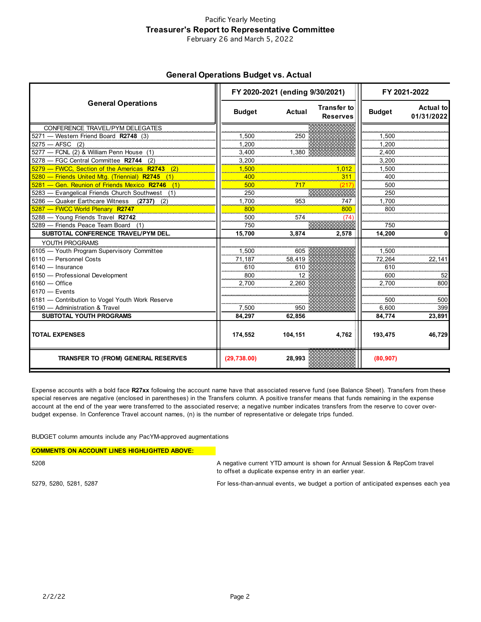#### Pacific Yearly Meeting **Treasurer's Report to Representative Committee** February 26 and March 5, 2022

**General Operations Budget vs. Actual** 

|                                                 | FY 2020-2021 (ending 9/30/2021) |               |                                       | FY 2021-2022  |                                 |
|-------------------------------------------------|---------------------------------|---------------|---------------------------------------|---------------|---------------------------------|
| <b>General Operations</b>                       | <b>Budget</b>                   | <b>Actual</b> | <b>Transfer to</b><br><b>Reserves</b> | <b>Budget</b> | <b>Actual tol</b><br>01/31/2022 |
| CONFERENCE TRAVEL/PYM DELEGATES                 |                                 |               |                                       |               |                                 |
| 5271 - Western Friend Board R2748 (3)           | 1,500                           | 250           |                                       | 1,500         |                                 |
| $5275 - AFSC$ (2)                               | 1.200                           |               |                                       | 1.200         |                                 |
| 5277 - FCNL (2) & William Penn House (1)        | 3,400                           | 1.380         |                                       | 2.400         |                                 |
| 5278 - FGC Central Committee R2744 (2)          | 3,200                           |               |                                       | 3,200         |                                 |
| 5279 – FWCC. Section of the Americas R2743      | 1.500<br><u> Maria Ale</u>      |               | .012                                  | 1.500         |                                 |
| 5280 - Friends United Mtg. (Triennial) R2745    | 400                             |               | 311                                   | 400           |                                 |
| 5281 — Gen. Reunion of Friends Mexico R2746 (1) | 500                             | 717           |                                       | 500           |                                 |
| 5283 - Evangelical Friends Church Southwest (1) | 250                             |               |                                       | 250           |                                 |
| 5286 - Quaker Earthcare Witness (2737)<br>(2)   | 1.700                           | 953           | 747                                   | 1.700         |                                 |
| 5287 - FWCC World Plenary R2747                 | 800                             |               | 800                                   | 800           |                                 |
| 5288 - Young Friends Travel R2742               | 500                             | 574           | (74                                   |               |                                 |
| 5289 - Friends Peace Team Board (1)             | 750                             |               |                                       | 750           |                                 |
| SUBTOTAL CONFERENCE TRAVEL/PYM DEL.             | 15,700                          | 3.874         | 2.578                                 | 14.200        |                                 |
| YOUTH PROGRAMS                                  |                                 |               |                                       |               |                                 |
| 6105 - Youth Program Supervisory Committee      | 1,500                           | 605           |                                       | 1.500         |                                 |
| 6110 - Personnel Costs                          | 71,187                          | 58.419        |                                       | 72,264        | 22,141                          |
| $6140 -$ Insurance                              | 610                             | 610           |                                       | 610           |                                 |
| 6150 - Professional Development                 | 800                             | 12            |                                       | 600           | 52                              |
| $6160 -$ Office                                 | 2.700                           | 2.260         |                                       | 2.700         | 800                             |
| $6170 -$ Events                                 |                                 |               |                                       |               |                                 |
| 6181 - Contribution to Vogel Youth Work Reserve |                                 |               |                                       | 500           | 500                             |
| 6190 - Administration & Travel                  | 7,500                           | 950           |                                       | 6.600         | 399                             |
| <b>SUBTOTAL YOUTH PROGRAMS</b>                  | 84.297                          | 62,856        |                                       | 84.774        | 23.891                          |
| <b>TOTAL EXPENSES</b>                           | 174,552                         | 104,151       | 4,762                                 | 193,475       | 46,729                          |
| <b>TRANSFER TO (FROM) GENERAL RESERVES</b>      | (29, 738.00)                    | 28,993        |                                       | (80, 907)     |                                 |

Expense accounts with a bold face **R27xx** following the account name have that associated reserve fund (see Balance Sheet). Transfers from these special reserves are negative (enclosed in parentheses) in the Transfers column. A positive transfer means that funds remaining in the expense account at the end of the year were transferred to the associated reserve; a negative number indicates transfers from the reserve to cover overbudget expense. In Conference Travel account names, (n) is the number of representative or delegate trips funded.

BUDGET column amounts include any PacYM-approved augmentations

| <b>COMMENTS ON ACCOUNT LINES HIGHLIGHTED ABOVE:</b> |                                                                           |
|-----------------------------------------------------|---------------------------------------------------------------------------|
| 5208                                                | A negative current YTD amount is shown for Annual Session & RepCom travel |
|                                                     | to offset a duplicate expense entry in an earlier year.                   |

5279, 5280, 5281, 5287 For less-than-annual events, we budget a portion of anticipated expenses each year.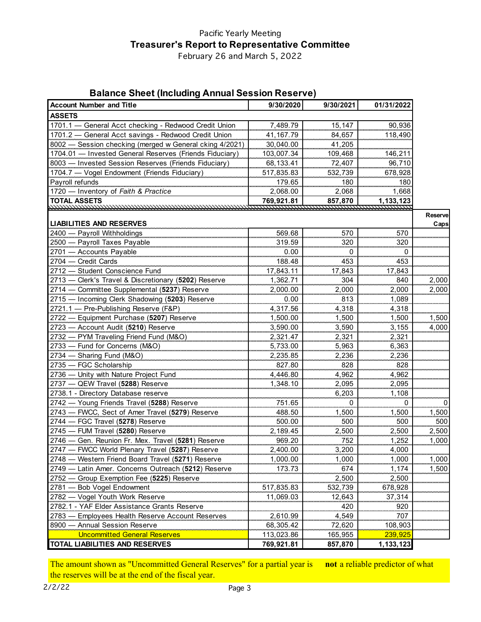# Pacific Yearly Meeting **Treasurer's Report to Representative Committee**

February 26 and March 5, 2022

## **Balance Sheet (Including Annual Session Reserve)**

| <b>Account Number and Title</b>                         | 9/30/2020  | 9/30/2021 | 01/31/2022     |                |
|---------------------------------------------------------|------------|-----------|----------------|----------------|
| <b>ASSETS</b>                                           |            |           |                |                |
| 1701.1 - General Acct checking - Redwood Credit Union   | 7,489.79   | 15,147    | 90,936         |                |
| 1701.2 - General Acct savings - Redwood Credit Union    | 41,167.79  | 84,657    | 118,490        |                |
| 8002 - Session checking (merged w General cking 4/2021) | 30,040.00  | 41,205    |                |                |
| 1704.01 - Invested General Reserves (Friends Fiduciary) | 103,007.34 | 109,468   | 146,211        |                |
| 8003 - Invested Session Reserves (Friends Fiduciary)    | 68,133.41  | 72,407    | 96,710         |                |
| 1704.7 - Vogel Endowment (Friends Fiduciary)            | 517,835.83 | 532,739   | 678,928        |                |
| Payroll refunds                                         | 179.65     | 180       | 180            |                |
| 1720 - Inventory of Faith & Practice                    | 2,068.00   | 2,068     | 1,668          |                |
| <b>TOTAL ASSETS</b>                                     | 769,921.81 | 857,870   | 1,133,123      |                |
|                                                         |            |           |                |                |
| <b>LIABILITIES AND RESERVES</b>                         |            |           |                | <b>Reserve</b> |
| 2400 - Payroll Withholdings                             | 569.68     |           | 570            | Caps           |
| 2500 - Payroll Taxes Payable                            |            | 570       |                |                |
| 2701 - Accounts Payable                                 | 319.59     | 320<br>0  | 320            |                |
|                                                         | 0.00       |           | $\overline{0}$ |                |
| 2704 - Credit Cards                                     | 188.48     | 453       | 453            |                |
| 2712 - Student Conscience Fund                          | 17,843.11  | 17,843    | 17,843         |                |
| 2713 - Clerk's Travel & Discretionary (5202) Reserve    | 1,362.71   | 304       | 840            | 2,000          |
| 2714 - Committee Supplemental (5237) Reserve            | 2,000.00   | 2,000     | 2,000          | 2,000          |
| 2715 - Incoming Clerk Shadowing (5203) Reserve          | 0.00       | 813       | 1,089          |                |
| 2721.1 - Pre-Publishing Reserve (F&P)                   | 4,317.56   | 4,318     | 4,318          |                |
| 2722 - Equipment Purchase (5207) Reserve                | 1,500.00   | 1,500     | 1,500          | 1,500          |
| 2723 - Account Audit (5210) Reserve                     | 3,590.00   | 3,590     | 3,155          | 4,000          |
| 2732 - PYM Traveling Friend Fund (M&O)                  | 2,321.47   | 2,321     | 2,321          |                |
| 2733 - Fund for Concerns (M&O)                          | 5,733.00   | 5,963     | 6,363          |                |
| 2734 - Sharing Fund (M&O)                               | 2,235.85   | 2,236     | 2,236          |                |
| 2735 - FGC Scholarship                                  | 827.80     | 828       | 828            |                |
| 2736 - Unity with Nature Project Fund                   | 4,446.80   | 4,962     | 4,962          |                |
| 2737 - QEW Travel (5288) Reserve                        | 1,348.10   | 2,095     | 2,095          |                |
| 2738.1 - Directory Database reserve                     |            | 6,203     | 1,108          |                |
| 2742 - Young Friends Travel (5288) Reserve              | 751.65     | 0         | 0              | 0              |
| 2743 - FWCC, Sect of Amer Travel (5279) Reserve         | 488.50     | 1,500     | 1,500          | 1,500          |
| 2744 - FGC Travel (5278) Reserve                        | 500.00     | 500       | 500            | 500            |
| 2745 - FUM Travel (5280) Reserve                        | 2,189.45   | 2,500     | 2,500          | 2,500          |
| 2746 - Gen. Reunion Fr. Mex. Travel (5281) Reserve      | 969.20     | 752       | 1,252          | 1,000          |
| 2747 - FWCC World Plenary Travel (5287) Reserve         | 2,400.00   | 3,200     | 4,000          |                |
| 2748 - Western Friend Board Travel (5271) Reserve       | 1,000.00   | 1,000     | 1,000          | 1,000          |
| 2749 - Latin Amer. Concerns Outreach (5212) Reserve     | 173.73     | 674       | 1,174          | 1,500          |
| 2752 - Group Exemption Fee (5225) Reserve               |            | 2,500     | 2,500          |                |
| 2781 - Bob Vogel Endowment                              | 517,835.83 | 532,739   | 678,928        |                |
| 2782 - Vogel Youth Work Reserve                         | 11,069.03  | 12,643    | 37,314         |                |
| 2782.1 - YAF Elder Assistance Grants Reserve            |            | 420       | 920            |                |
| 2783 - Employees Health Reserve Account Reserves        | 2,610.99   | 4,549     | 707            |                |
| 8900 - Annual Session Reserve                           | 68,305.42  | 72,620    | 108,903        |                |
| <b>Uncommitted General Reserves</b>                     | 113,023.86 | 165,955   | <u>239,925</u> |                |
| <b>TOTAL LIABILITIES AND RESERVES</b>                   | 769,921.81 | 857,870   | 1,133,123      |                |

The amount shown as "Uncommitted General Reserves" for a partial year is **not** a reliable predictor of what the reserves will be at the end of the fiscal year.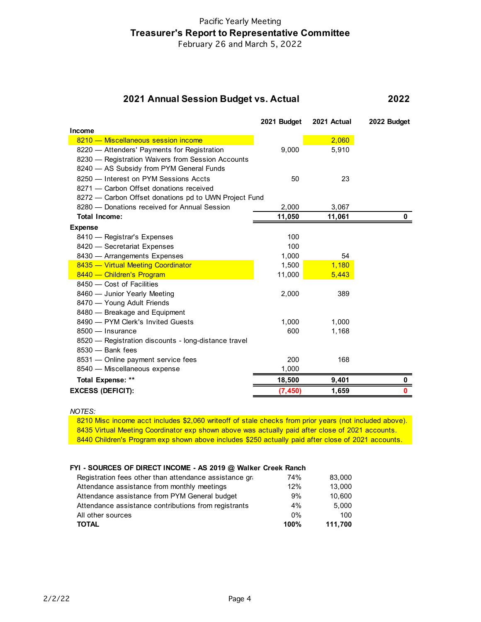# Pacific Yearly Meeting **Treasurer's Report to Representative Committee**

February 26 and March 5, 2022

#### **2022 2021 Annual Session Budget vs. Actual**

|                                                       | 2021 Budget | 2021 Actual | 2022 Budget |
|-------------------------------------------------------|-------------|-------------|-------------|
| Income                                                |             |             |             |
| 8210 - Miscellaneous session income                   |             | 2,060       |             |
| 8220 - Attenders' Payments for Registration           | 9,000       | 5,910       |             |
| 8230 - Registration Waivers from Session Accounts     |             |             |             |
| 8240 - AS Subsidy from PYM General Funds              |             |             |             |
| 8250 - Interest on PYM Sessions Accts                 | 50          | 23          |             |
| 8271 - Carbon Offset donations received               |             |             |             |
| 8272 - Carbon Offset donations pd to UWN Project Fund |             |             |             |
| 8280 - Donations received for Annual Session          | 2,000       | 3,067       |             |
| <b>Total Income:</b>                                  | 11,050      | 11,061      | 0           |
| <b>Expense</b>                                        |             |             |             |
| 8410 - Registrar's Expenses                           | 100         |             |             |
| 8420 - Secretariat Expenses                           | 100         |             |             |
| 8430 - Arrangements Expenses                          | 1,000       | 54          |             |
| 8435 - Virtual Meeting Coordinator                    | 1,500       | 1,180       |             |
| 8440 - Children's Program                             | 11,000      | 5,443       |             |
| 8450 - Cost of Facilities                             |             |             |             |
| 8460 - Junior Yearly Meeting                          | 2,000       | 389         |             |
| 8470 - Young Adult Friends                            |             |             |             |
| 8480 - Breakage and Equipment                         |             |             |             |
| 8490 - PYM Clerk's Invited Guests                     | 1,000       | 1,000       |             |
| 8500 - Insurance                                      | 600         | 1,168       |             |
| 8520 - Registration discounts - long-distance travel  |             |             |             |
| 8530 - Bank fees                                      |             |             |             |
| 8531 - Online payment service fees                    | 200         | 168         |             |
| 8540 - Miscellaneous expense                          | 1,000       |             |             |
| <b>Total Expense: **</b>                              | 18,500      | 9,401       | o           |
| <b>EXCESS (DEFICIT):</b>                              | (7,450)     | 1,659       | 0           |

*NOTES:*

8210 Misc income acct includes \$2,060 writeoff of stale checks from prior years (not included above). 8435 Virtual Meeting Coordinator exp shown above was actually paid after close of 2021 accounts. 8440 Children's Program exp shown above includes \$250 actually paid after close of 2021 accounts.

### **FYI - SOURCES OF DIRECT INCOME - AS 2019 @ Walker Creek Ranch**

| Registration fees other than attendance assistance gra | 74%   | 83.000  |
|--------------------------------------------------------|-------|---------|
| Attendance assistance from monthly meetings            | 12%   | 13.000  |
| Attendance assistance from PYM General budget          | 9%    | 10,600  |
| Attendance assistance contributions from registrants   | 4%    | 5,000   |
| All other sources                                      | $0\%$ | 100     |
| <b>TOTAL</b>                                           | 100%  | 111.700 |